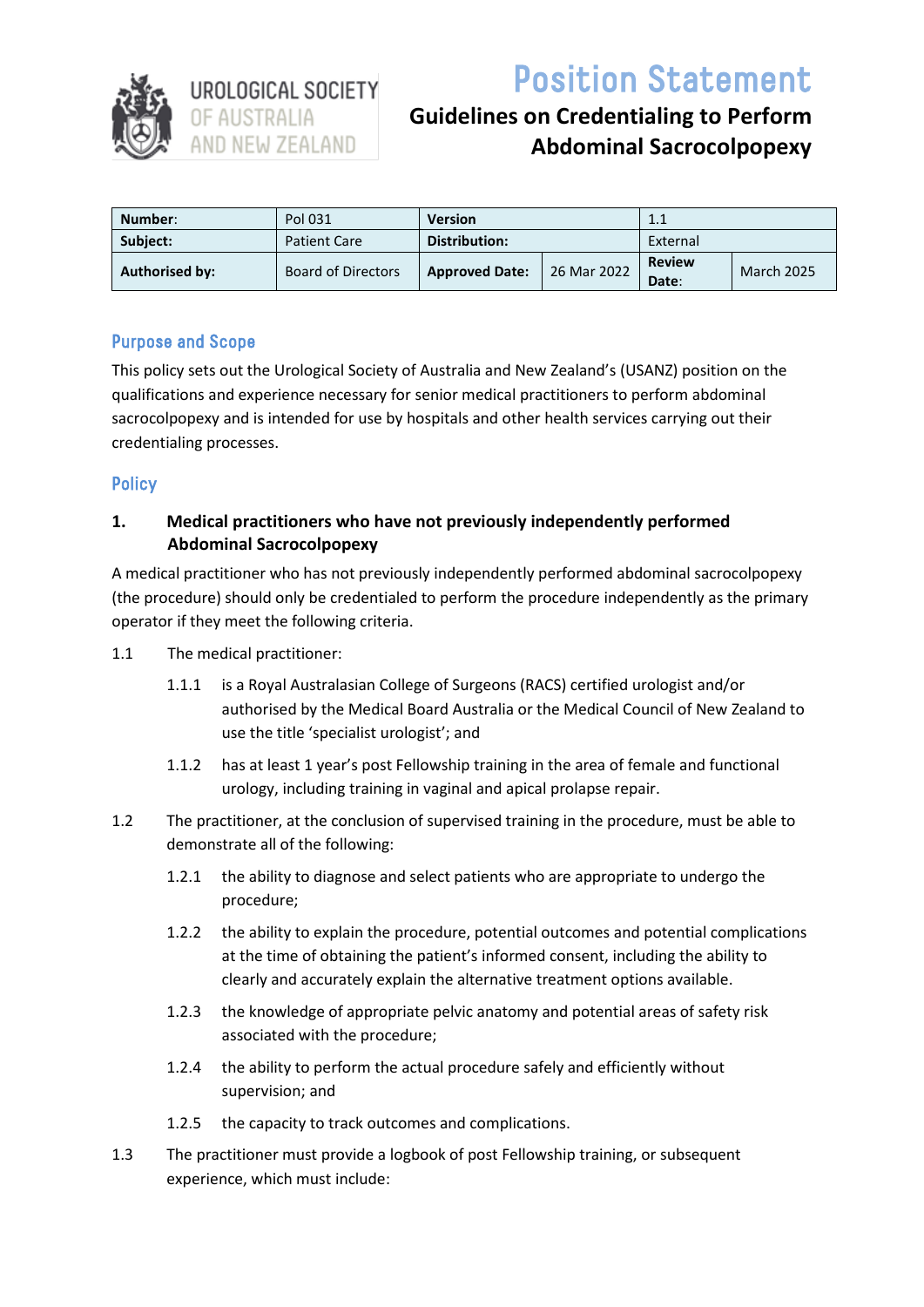

Position Statement

# **Guidelines on Credentialing to Perform Abdominal Sacrocolpopexy**

| Number:        | Pol 031                   | <b>Version</b>        |             | 1.1                    |                   |
|----------------|---------------------------|-----------------------|-------------|------------------------|-------------------|
| Subject:       | <b>Patient Care</b>       | Distribution:         |             | External               |                   |
| Authorised by: | <b>Board of Directors</b> | <b>Approved Date:</b> | 26 Mar 2022 | <b>Review</b><br>Date: | <b>March 2025</b> |

# Purpose and Scope

This policy sets out the Urological Society of Australia and New Zealand's (USANZ) position on the qualifications and experience necessary for senior medical practitioners to perform abdominal sacrocolpopexy and is intended for use by hospitals and other health services carrying out their credentialing processes.

#### **Policy**

## **1. Medical practitioners who have not previously independently performed Abdominal Sacrocolpopexy**

A medical practitioner who has not previously independently performed abdominal sacrocolpopexy (the procedure) should only be credentialed to perform the procedure independently as the primary operator if they meet the following criteria.

- 1.1 The medical practitioner:
	- 1.1.1 is a Royal Australasian College of Surgeons (RACS) certified urologist and/or authorised by the Medical Board Australia or the Medical Council of New Zealand to use the title 'specialist urologist'; and
	- 1.1.2 has at least 1 year's post Fellowship training in the area of female and functional urology, including training in vaginal and apical prolapse repair.
- 1.2 The practitioner, at the conclusion of supervised training in the procedure, must be able to demonstrate all of the following:
	- 1.2.1 the ability to diagnose and select patients who are appropriate to undergo the procedure;
	- 1.2.2 the ability to explain the procedure, potential outcomes and potential complications at the time of obtaining the patient's informed consent, including the ability to clearly and accurately explain the alternative treatment options available.
	- 1.2.3 the knowledge of appropriate pelvic anatomy and potential areas of safety risk associated with the procedure;
	- 1.2.4 the ability to perform the actual procedure safely and efficiently without supervision; and
	- 1.2.5 the capacity to track outcomes and complications.
- 1.3 The practitioner must provide a logbook of post Fellowship training, or subsequent experience, which must include: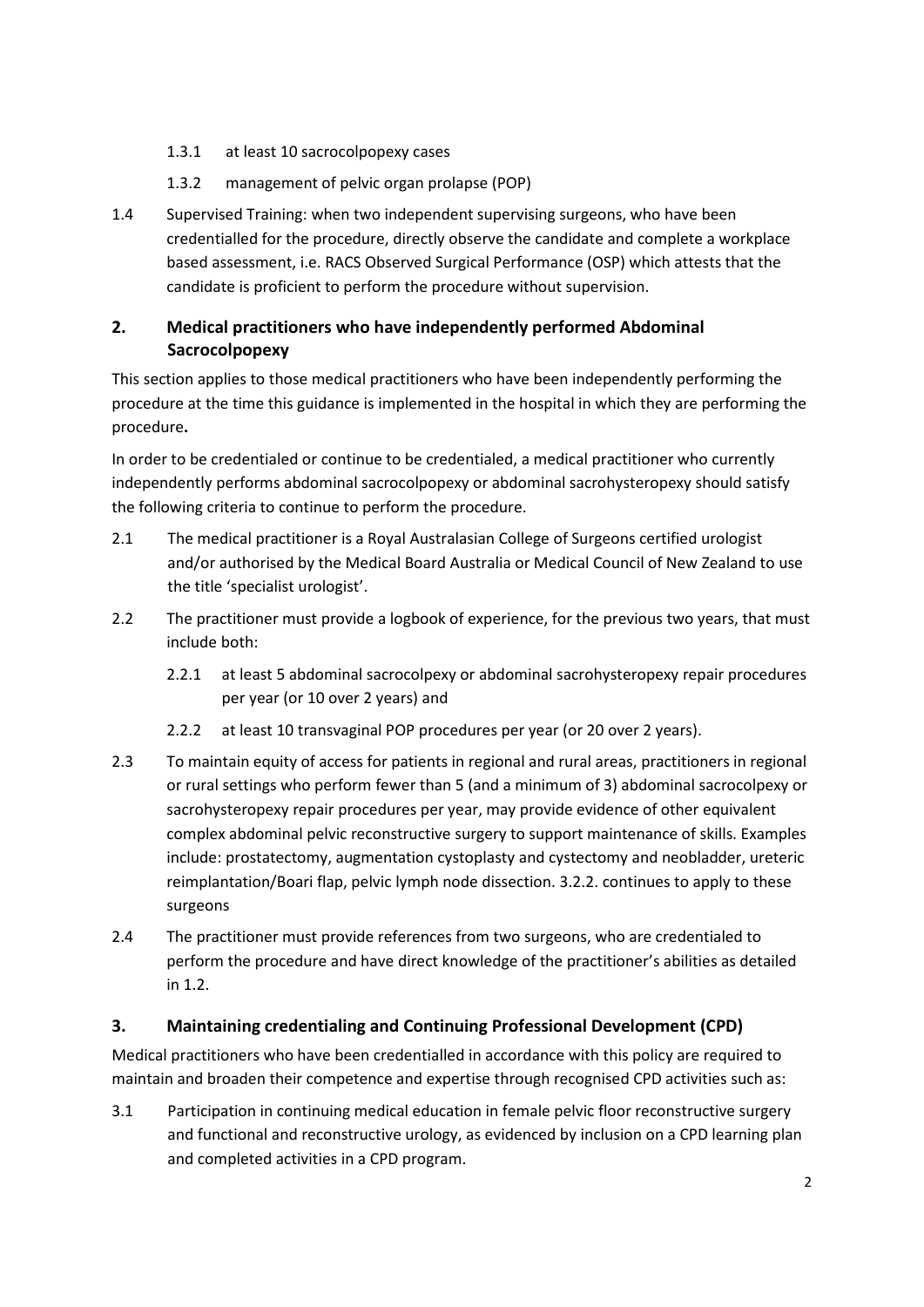- 1.3.1 at least 10 sacrocolpopexy cases
- 1.3.2 management of pelvic organ prolapse (POP)
- 1.4 Supervised Training: when two independent supervising surgeons, who have been credentialled for the procedure, directly observe the candidate and complete a workplace based assessment, i.e. RACS Observed Surgical Performance (OSP) which attests that the candidate is proficient to perform the procedure without supervision.

# **2. Medical practitioners who have independently performed Abdominal Sacrocolpopexy**

This section applies to those medical practitioners who have been independently performing the procedure at the time this guidance is implemented in the hospital in which they are performing the procedure**.**

In order to be credentialed or continue to be credentialed, a medical practitioner who currently independently performs abdominal sacrocolpopexy or abdominal sacrohysteropexy should satisfy the following criteria to continue to perform the procedure.

- 2.1 The medical practitioner is a Royal Australasian College of Surgeons certified urologist and/or authorised by the Medical Board Australia or Medical Council of New Zealand to use the title 'specialist urologist'.
- 2.2 The practitioner must provide a logbook of experience, for the previous two years, that must include both:
	- 2.2.1 at least 5 abdominal sacrocolpexy or abdominal sacrohysteropexy repair procedures per year (or 10 over 2 years) and
	- 2.2.2 at least 10 transvaginal POP procedures per year (or 20 over 2 years).
- 2.3 To maintain equity of access for patients in regional and rural areas, practitioners in regional or rural settings who perform fewer than 5 (and a minimum of 3) abdominal sacrocolpexy or sacrohysteropexy repair procedures per year, may provide evidence of other equivalent complex abdominal pelvic reconstructive surgery to support maintenance of skills. Examples include: prostatectomy, augmentation cystoplasty and cystectomy and neobladder, ureteric reimplantation/Boari flap, pelvic lymph node dissection. 3.2.2. continues to apply to these surgeons
- 2.4 The practitioner must provide references from two surgeons, who are credentialed to perform the procedure and have direct knowledge of the practitioner's abilities as detailed in 1.2.

#### **3. Maintaining credentialing and Continuing Professional Development (CPD)**

Medical practitioners who have been credentialled in accordance with this policy are required to maintain and broaden their competence and expertise through recognised CPD activities such as:

3.1 Participation in continuing medical education in female pelvic floor reconstructive surgery and functional and reconstructive urology, as evidenced by inclusion on a CPD learning plan and completed activities in a CPD program.